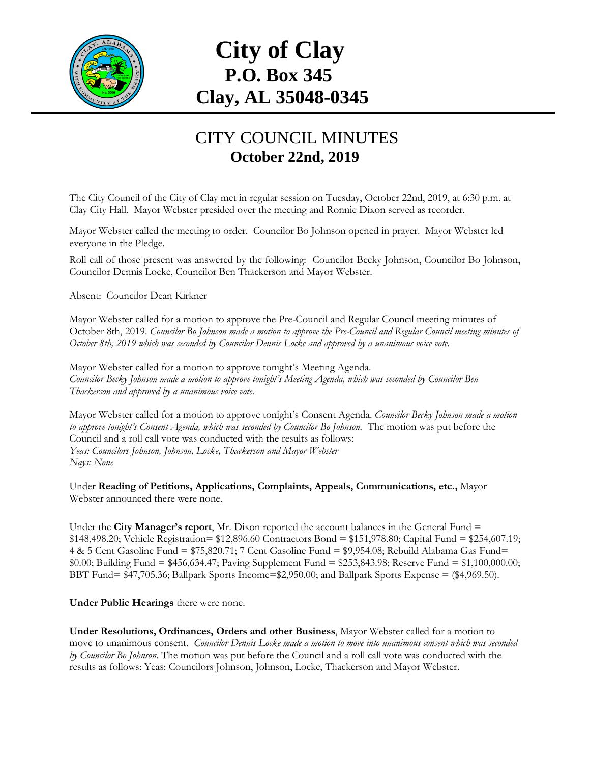

## **City of Clay P.O. Box 345 Clay, AL 35048-0345**

## CITY COUNCIL MINUTES **October 22nd, 2019**

The City Council of the City of Clay met in regular session on Tuesday, October 22nd, 2019, at 6:30 p.m. at Clay City Hall. Mayor Webster presided over the meeting and Ronnie Dixon served as recorder.

Mayor Webster called the meeting to order. Councilor Bo Johnson opened in prayer. Mayor Webster led everyone in the Pledge.

Roll call of those present was answered by the following: Councilor Becky Johnson, Councilor Bo Johnson, Councilor Dennis Locke, Councilor Ben Thackerson and Mayor Webster.

Absent: Councilor Dean Kirkner

Mayor Webster called for a motion to approve the Pre-Council and Regular Council meeting minutes of October 8th, 2019. *Councilor Bo Johnson made a motion to approve the Pre-Council and Regular Council meeting minutes of October 8th, 2019 which was seconded by Councilor Dennis Locke and approved by a unanimous voice vote.*

Mayor Webster called for a motion to approve tonight's Meeting Agenda. *Councilor Becky Johnson made a motion to approve tonight's Meeting Agenda, which was seconded by Councilor Ben Thackerson and approved by a unanimous voice vote.*

Mayor Webster called for a motion to approve tonight's Consent Agenda. *Councilor Becky Johnson made a motion to approve tonight's Consent Agenda, which was seconded by Councilor Bo Johnson.* The motion was put before the Council and a roll call vote was conducted with the results as follows: *Yeas: Councilors Johnson, Johnson, Locke, Thackerson and Mayor Webster Nays: None*

Under **Reading of Petitions, Applications, Complaints, Appeals, Communications, etc.,** Mayor Webster announced there were none.

Under the **City Manager's report**, Mr. Dixon reported the account balances in the General Fund = \$148,498.20; Vehicle Registration= \$12,896.60 Contractors Bond = \$151,978.80; Capital Fund = \$254,607.19; 4 & 5 Cent Gasoline Fund = \$75,820.71; 7 Cent Gasoline Fund = \$9,954.08; Rebuild Alabama Gas Fund= \$0.00; Building Fund = \$456,634.47; Paving Supplement Fund = \$253,843.98; Reserve Fund = \$1,100,000.00; BBT Fund= \$47,705.36; Ballpark Sports Income=\$2,950.00; and Ballpark Sports Expense = (\$4,969.50).

**Under Public Hearings** there were none.

**Under Resolutions, Ordinances, Orders and other Business**, Mayor Webster called for a motion to move to unanimous consent. *Councilor Dennis Locke made a motion to move into unanimous consent which was seconded by Councilor Bo Johnson*. The motion was put before the Council and a roll call vote was conducted with the results as follows: Yeas: Councilors Johnson, Johnson, Locke, Thackerson and Mayor Webster.